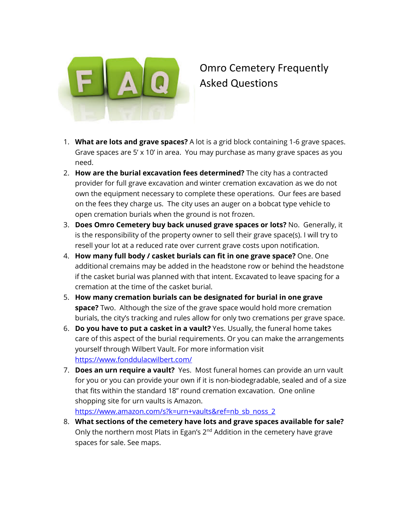

## Omro Cemetery Frequently Asked Questions

- 1. **What are lots and grave spaces?** A lot is a grid block containing 1-6 grave spaces. Grave spaces are 5' x 10' in area. You may purchase as many grave spaces as you need.
- 2. **How are the burial excavation fees determined?** The city has a contracted provider for full grave excavation and winter cremation excavation as we do not own the equipment necessary to complete these operations. Our fees are based on the fees they charge us. The city uses an auger on a bobcat type vehicle to open cremation burials when the ground is not frozen.
- 3. **Does Omro Cemetery buy back unused grave spaces or lots?** No. Generally, it is the responsibility of the property owner to sell their grave space(s). I will try to resell your lot at a reduced rate over current grave costs upon notification.
- 4. **How many full body / casket burials can fit in one grave space?** One. One additional cremains may be added in the headstone row or behind the headstone if the casket burial was planned with that intent. Excavated to leave spacing for a cremation at the time of the casket burial.
- 5. **How many cremation burials can be designated for burial in one grave space?** Two. Although the size of the grave space would hold more cremation burials, the city's tracking and rules allow for only two cremations per grave space.
- 6. **Do you have to put a casket in a vault?** Yes. Usually, the funeral home takes care of this aspect of the burial requirements. Or you can make the arrangements yourself through Wilbert Vault. For more information visit <https://www.fonddulacwilbert.com/>
- 7. **Does an urn require a vault?** Yes. Most funeral homes can provide an urn vault for you or you can provide your own if it is non-biodegradable, sealed and of a size that fits within the standard 18" round cremation excavation. One online shopping site for urn vaults is Amazon. [https://www.amazon.com/s?k=urn+vaults&ref=nb\\_sb\\_noss\\_2](https://www.amazon.com/s?k=urn+vaults&ref=nb_sb_noss_2)
- 8. **What sections of the cemetery have lots and grave spaces available for sale?** Only the northern most Plats in Egan's 2<sup>nd</sup> Addition in the cemetery have grave spaces for sale. See maps.